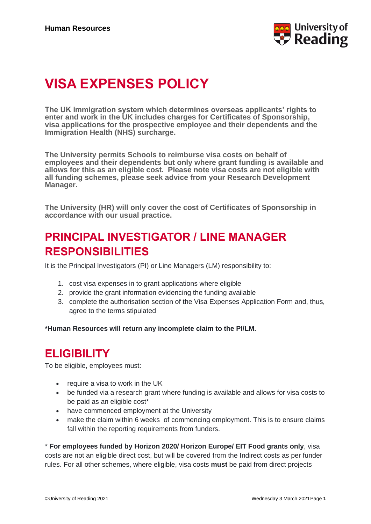

# **VISA EXPENSES POLICY**

**The UK immigration system which determines overseas applicants' rights to enter and work in the UK includes charges for Certificates of Sponsorship, visa applications for the prospective employee and their dependents and the Immigration Health (NHS) surcharge.**

**The University permits Schools to reimburse visa costs on behalf of employees and their dependents but only where grant funding is available and allows for this as an eligible cost. Please note visa costs are not eligible with all funding schemes, please seek advice from your Research Development Manager.**

**The University (HR) will only cover the cost of Certificates of Sponsorship in accordance with our usual practice.**

# **PRINCIPAL INVESTIGATOR / LINE MANAGER RESPONSIBILITIES**

It is the Principal Investigators (PI) or Line Managers (LM) responsibility to:

- 1. cost visa expenses in to grant applications where eligible
- 2. provide the grant information evidencing the funding available
- 3. complete the authorisation section of the Visa Expenses Application Form and, thus, agree to the terms stipulated

**\*Human Resources will return any incomplete claim to the PI/LM.** 

#### **ELIGIBILITY**

To be eligible, employees must:

- require a visa to work in the UK
- be funded via a research grant where funding is available and allows for visa costs to be paid as an eligible cost\*
- have commenced employment at the University
- make the claim within 6 weeks of commencing employment. This is to ensure claims fall within the reporting requirements from funders.

\* **For employees funded by Horizon 2020/ Horizon Europe/ EIT Food grants only**, visa

costs are not an eligible direct cost, but will be covered from the Indirect costs as per funder rules. For all other schemes, where eligible, visa costs **must** be paid from direct projects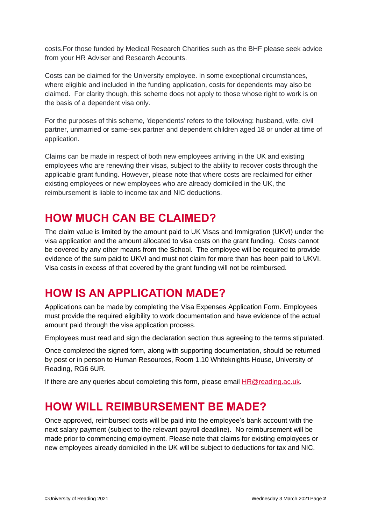costs.For those funded by Medical Research Charities such as the BHF please seek advice from your HR Adviser and Research Accounts.

Costs can be claimed for the University employee. In some exceptional circumstances, where eligible and included in the funding application, costs for dependents may also be claimed. For clarity though, this scheme does not apply to those whose right to work is on the basis of a dependent visa only.

For the purposes of this scheme, 'dependents' refers to the following: husband, wife, civil partner, unmarried or same-sex partner and dependent children aged 18 or under at time of application.

Claims can be made in respect of both new employees arriving in the UK and existing employees who are renewing their visas, subject to the ability to recover costs through the applicable grant funding. However, please note that where costs are reclaimed for either existing employees or new employees who are already domiciled in the UK, the reimbursement is liable to income tax and NIC deductions.

### **HOW MUCH CAN BE CLAIMED?**

The claim value is limited by the amount paid to UK Visas and Immigration (UKVI) under the visa application and the amount allocated to visa costs on the grant funding. Costs cannot be covered by any other means from the School. The employee will be required to provide evidence of the sum paid to UKVI and must not claim for more than has been paid to UKVI. Visa costs in excess of that covered by the grant funding will not be reimbursed.

#### **HOW IS AN APPLICATION MADE?**

Applications can be made by completing the Visa Expenses Application Form. Employees must provide the required eligibility to work documentation and have evidence of the actual amount paid through the visa application process.

Employees must read and sign the declaration section thus agreeing to the terms stipulated.

Once completed the signed form, along with supporting documentation, should be returned by post or in person to Human Resources, Room 1.10 Whiteknights House, University of Reading, RG6 6UR.

If there are any queries about completing this form, please email **HR@reading.ac.uk.** 

## **HOW WILL REIMBURSEMENT BE MADE?**

Once approved, reimbursed costs will be paid into the employee's bank account with the next salary payment (subject to the relevant payroll deadline). No reimbursement will be made prior to commencing employment. Please note that claims for existing employees or new employees already domiciled in the UK will be subject to deductions for tax and NIC.